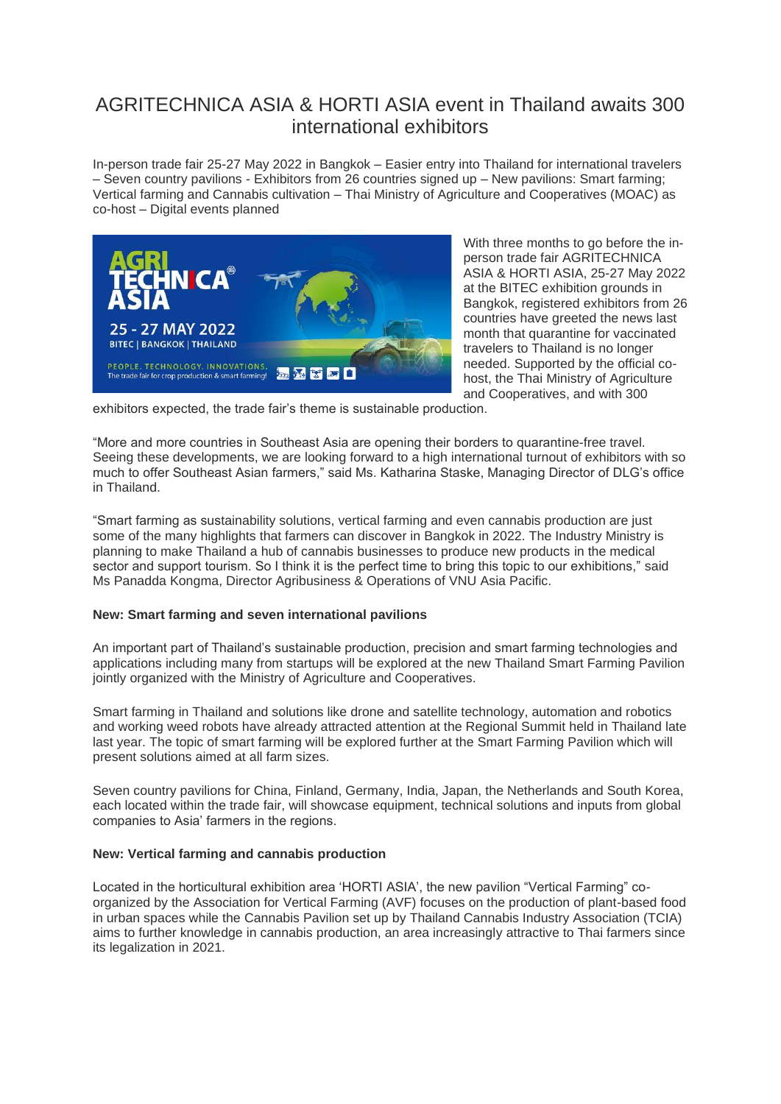# AGRITECHNICA ASIA & HORTI ASIA event in Thailand awaits 300 international exhibitors

In-person trade fair 25-27 May 2022 in Bangkok – Easier entry into Thailand for international travelers – Seven country pavilions - Exhibitors from 26 countries signed up – New pavilions: Smart farming; Vertical farming and Cannabis cultivation – Thai Ministry of Agriculture and Cooperatives (MOAC) as co-host – Digital events planned



With three months to go before the inperson trade fair AGRITECHNICA ASIA & HORTI ASIA, 25-27 May 2022 at the BITEC exhibition grounds in Bangkok, registered exhibitors from 26 countries have greeted the news last month that quarantine for vaccinated travelers to Thailand is no longer needed. Supported by the official cohost, the Thai Ministry of Agriculture and Cooperatives, and with 300

exhibitors expected, the trade fair's theme is sustainable production.

"More and more countries in Southeast Asia are opening their borders to quarantine-free travel. Seeing these developments, we are looking forward to a high international turnout of exhibitors with so much to offer Southeast Asian farmers," said Ms. Katharina Staske, Managing Director of DLG's office in Thailand.

"Smart farming as sustainability solutions, vertical farming and even cannabis production are just some of the many highlights that farmers can discover in Bangkok in 2022. The Industry Ministry is planning to make Thailand a hub of cannabis businesses to produce new products in the medical sector and support tourism. So I think it is the perfect time to bring this topic to our exhibitions," said Ms Panadda Kongma, Director Agribusiness & Operations of VNU Asia Pacific.

## **New: Smart farming and seven international pavilions**

An important part of Thailand's sustainable production, precision and smart farming technologies and applications including many from startups will be explored at the new Thailand Smart Farming Pavilion jointly organized with the Ministry of Agriculture and Cooperatives.

Smart farming in Thailand and solutions like drone and satellite technology, automation and robotics and working weed robots have already attracted attention at the Regional Summit held in Thailand late last year. The topic of smart farming will be explored further at the Smart Farming Pavilion which will present solutions aimed at all farm sizes.

Seven country pavilions for China, Finland, Germany, India, Japan, the Netherlands and South Korea, each located within the trade fair, will showcase equipment, technical solutions and inputs from global companies to Asia' farmers in the regions.

#### **New: Vertical farming and cannabis production**

Located in the horticultural exhibition area 'HORTI ASIA', the new pavilion "Vertical Farming" coorganized by the Association for Vertical Farming (AVF) focuses on the production of plant-based food in urban spaces while the Cannabis Pavilion set up by Thailand Cannabis Industry Association (TCIA) aims to further knowledge in cannabis production, an area increasingly attractive to Thai farmers since its legalization in 2021.